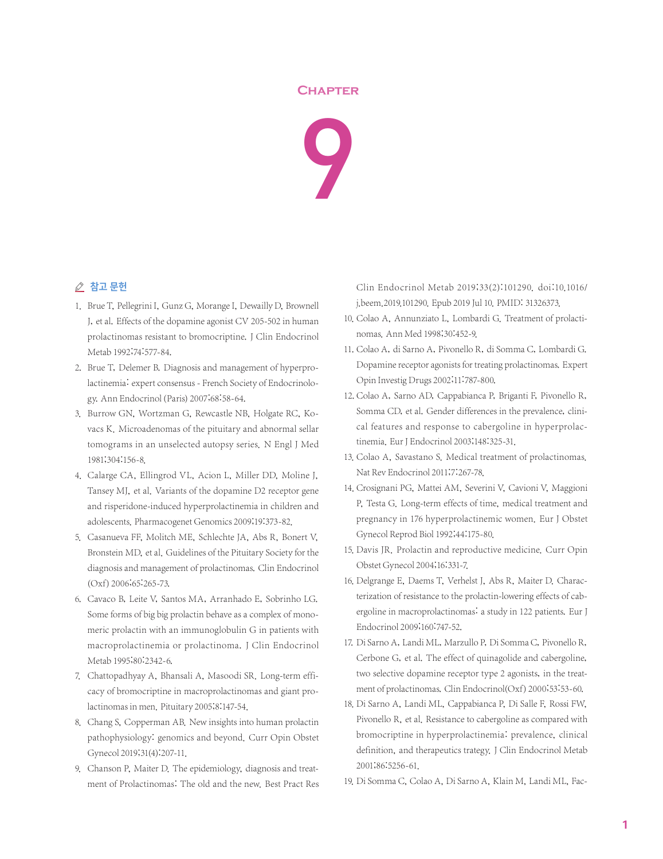## **Chapter**



## △ 참고 문헌

- 1. Brue T, Pellegrini I, Gunz G, Morange I, Dewailly D, Brownell J, et al. Effects of the dopamine agonist CV 205-502 in human prolactinomas resistant to bromocriptine. J Clin Endocrinol Metab 1992;74:577-84.
- 2. Brue T, Delemer B. Diagnosis and management of hyperprolactinemia: expert consensus - French Society of Endocrinology. Ann Endocrinol(Paris) 2007;68:58-64.
- 3. Burrow GN, Wortzman G, Rewcastle NB, Holgate RC, Kovacs K. Microadenomas of the pituitary and abnormal sellar tomograms in an unselected autopsy series. N Engl J Med 1981;304:156-8.
- 4. Calarge CA, Ellingrod VL, Acion L, Miller DD, Moline J, Tansey MJ, et al. Variants of the dopamine D2 receptor gene and risperidone-induced hyperprolactinemia in children and adolescents. Pharmacogenet Genomics 2009;19:373-82.
- 5. Casanueva FF, Molitch ME, Schlechte JA, Abs R, Bonert V, Bronstein MD, et al. Guidelines of the Pituitary Society for the diagnosis and management of prolactinomas. Clin Endocrinol (Oxf) 2006;65:265-73.
- 6. Cavaco B, Leite V, Santos MA, Arranhado E, Sobrinho LG. Some forms of big big prolactin behave as a complex of monomeric prolactin with an immunoglobulin G in patients with macroprolactinemia or prolactinoma. J Clin Endocrinol Metab 1995;80:2342-6.
- 7. Chattopadhyay A, Bhansali A, Masoodi SR. Long-term efficacy of bromocriptine in macroprolactinomas and giant prolactinomas in men. Pituitary 2005;8:147-54.
- 8. Chang S, Copperman AB. New insights into human prolactin pathophysiology: genomics and beyond. Curr Opin Obstet Gynecol 2019;31(4):207-11.
- 9. Chanson P, Maiter D. The epidemiology, diagnosis and treatment of Prolactinomas: The old and the new. Best Pract Res

Clin Endocrinol Metab 2019;33(2):101290. doi:10.1016/ j.beem.2019.101290. Epub 2019 Jul 10. PMID: 31326373.

- 10. Colao A, Annunziato L, Lombardi G. Treatment of prolactinomas. Ann Med 1998;30:452-9.
- 11. Colao A, di Sarno A, Pivonello R, di Somma C, Lombardi G. Dopamine receptor agonists for treating prolactinomas. Expert Opin Investig Drugs 2002;11:787-800.
- 12. Colao A, Sarno AD, Cappabianca P, Briganti F, Pivonello R, Somma CD, et al. Gender differences in the prevalence, clinical features and response to cabergoline in hyperprolactinemia. Eur J Endocrinol 2003;148:325-31.
- 13. Colao A, Savastano S. Medical treatment of prolactinomas. Nat Rev Endocrinol 2011;7:267-78.
- 14. Crosignani PG, Mattei AM, Severini V, Cavioni V, Maggioni P, Testa G. Long-term effects of time, medical treatment and pregnancy in 176 hyperprolactinemic women. Eur J Obstet Gynecol Reprod Biol 1992;44:175-80.
- 15. Davis JR. Prolactin and reproductive medicine. Curr Opin Obstet Gynecol 2004;16:331-7.
- 16. Delgrange E, Daems T, Verhelst J, Abs R, Maiter D. Characterization of resistance to the prolactin-lowering effects of cabergoline in macroprolactinomas: a study in 122 patients. Eur J Endocrinol 2009;160:747-52.
- 17. Di Sarno A, Landi ML, Marzullo P, Di Somma C, Pivonello R, Cerbone G, et al. The effect of quinagolide and cabergoline, two selective dopamine receptor type 2 agonists, in the treatment of prolactinomas. Clin Endocrinol(Oxf) 2000;53:53-60.
- 18. Di Sarno A, Landi ML, Cappabianca P, Di Salle F, Rossi FW, Pivonello R, et al. Resistance to cabergoline as compared with bromocriptine in hyperprolactinemia: prevalence, clinical definition, and therapeutics trategy. J Clin Endocrinol Metab 2001;86:5256-61.
- 19. Di Somma C, Colao A, Di Sarno A, Klain M, Landi ML, Fac-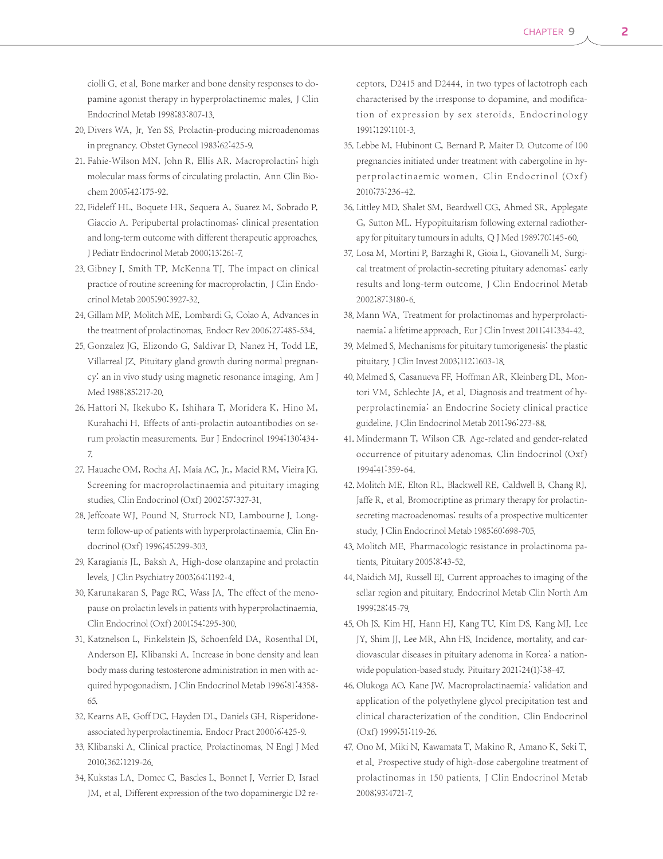ciolli G, et al. Bone marker and bone density responses to dopamine agonist therapy in hyperprolactinemic males. J Clin Endocrinol Metab 1998;83:807-13.

- 20. Divers WA, Jr. Yen SS. Prolactin-producing microadenomas in pregnancy. Obstet Gynecol 1983;62:425-9.
- 21. Fahie-Wilson MN, John R, Ellis AR. Macroprolactin; high molecular mass forms of circulating prolactin. Ann Clin Biochem 2005;42:175-92.
- 22. Fideleff HL, Boquete HR, Sequera A, Suarez M, Sobrado P, Giaccio A. Peripubertal prolactinomas: clinical presentation and long-term outcome with different therapeutic approaches. J Pediatr Endocrinol Metab 2000;13:261-7.
- 23. Gibney J, Smith TP, McKenna TJ. The impact on clinical practice of routine screening for macroprolactin. J Clin Endocrinol Metab 2005;90:3927-32.
- 24. Gillam MP, Molitch ME, Lombardi G, Colao A, Advances in the treatment of prolactinomas. Endocr Rev 2006;27:485-534.
- 25. Gonzalez JG, Elizondo G, Saldivar D, Nanez H, Todd LE, Villarreal JZ. Pituitary gland growth during normal pregnancy: an in vivo study using magnetic resonance imaging. Am J Med 1988;85:217-20.
- 26. Hattori N, Ikekubo K, Ishihara T, Moridera K, Hino M, Kurahachi H. Effects of anti-prolactin autoantibodies on serum prolactin measurements. Eur J Endocrinol 1994;130:434- 7.
- 27. Hauache OM, Rocha AJ, Maia AC, Jr., Maciel RM, Vieira JG. Screening for macroprolactinaemia and pituitary imaging studies. Clin Endocrinol(Oxf) 2002;57:327-31.
- 28. Jeffcoate WJ, Pound N, Sturrock ND, Lambourne J. Longterm follow-up of patients with hyperprolactinaemia. Clin Endocrinol(Oxf) 1996;45:299-303.
- 29. Karagianis JL, Baksh A. High-dose olanzapine and prolactin levels.J Clin Psychiatry 2003;64:1192-4.
- 30. Karunakaran S, Page RC, Wass JA. The effect of the menopause on prolactin levels in patients with hyperprolactinaemia. Clin Endocrinol(Oxf) 2001;54:295-300.
- 31. Katznelson L, Finkelstein JS, Schoenfeld DA, Rosenthal DI, Anderson EJ, Klibanski A. Increase in bone density and lean body mass during testosterone administration in men with acquired hypogonadism.J Clin Endocrinol Metab 1996;81:4358- 65.
- 32. Kearns AE, Goff DC, Hayden DL, Daniels GH. Risperidoneassociated hyperprolactinemia. Endocr Pract 2000;6:425-9.
- 33. Klibanski A. Clinical practice. Prolactinomas. N Engl J Med 2010;362:1219-26.
- 34. Kukstas LA, Domec C, Bascles L, Bonnet J, Verrier D, Israel JM, et al. Different expression of the two dopaminergic D2 re-

ceptors, D2415 and D2444, in two types of lactotroph each characterised by the irresponse to dopamine, and modification of expression by sex steroids. Endocrinology 1991;129:1101-3.

- 35. Lebbe M, Hubinont C, Bernard P, Maiter D. Outcome of 100 pregnancies initiated under treatment with cabergoline in hyperprolactinaemic women. Clin Endocrinol (Oxf) 2010;73:236-42.
- 36. Littley MD, Shalet SM, Beardwell CG, Ahmed SR, Applegate G, Sutton ML. Hypopituitarism following external radiotherapy for pituitary tumours in adults. Q J Med 1989;70:145-60.
- 37. Losa M, Mortini P, Barzaghi R, Gioia L, Giovanelli M. Surgical treatment of prolactin-secreting pituitary adenomas: early results and long-term outcome. J Clin Endocrinol Metab 2002;87:3180-6.
- 38. Mann WA. Treatment for prolactinomas and hyperprolactinaemia: a lifetime approach. Eur J Clin Invest 2011;41:334-42.
- 39. Melmed S. Mechanisms for pituitary tumorigenesis: the plastic pituitary. J Clin Invest 2003;112:1603-18.
- 40. Melmed S, Casanueva FF, Hoffman AR, Kleinberg DL, Montori VM, Schlechte JA, et al. Diagnosis and treatment of hyperprolactinemia: an Endocrine Society clinical practice guideline.J Clin Endocrinol Metab 2011;96:273-88.
- 41. Mindermann T, Wilson CB. Age-related and gender-related occurrence of pituitary adenomas. Clin Endocrinol (Oxf) 1994;41:359-64.
- 42. Molitch ME, Elton RL, Blackwell RE, Caldwell B, Chang RJ, Jaffe R, et al. Bromocriptine as primary therapy for prolactinsecreting macroadenomas: results of a prospective multicenter study.J Clin Endocrinol Metab 1985;60:698-705.
- 43. Molitch ME. Pharmacologic resistance in prolactinoma patients. Pituitary 2005;8:43-52.
- 44. Naidich MJ, Russell EJ. Current approaches to imaging of the sellar region and pituitary. Endocrinol Metab Clin North Am 1999;28:45-79.
- 45. Oh JS, Kim HJ, Hann HJ, Kang TU, Kim DS, Kang MJ, Lee JY, Shim JJ, Lee MR, Ahn HS. Incidence, mortality, and cardiovascular diseases in pituitary adenoma in Korea: a nationwide population-based study. Pituitary 2021;24(1):38-47.
- 46. Olukoga AO, Kane JW. Macroprolactinaemia: validation and application of the polyethylene glycol precipitation test and clinical characterization of the condition. Clin Endocrinol (Oxf) 1999;51:119-26.
- 47. Ono M, Miki N, Kawamata T, Makino R, Amano K, Seki T, et al. Prospective study of high-dose cabergoline treatment of prolactinomas in 150 patients. J Clin Endocrinol Metab 2008;93:4721-7.